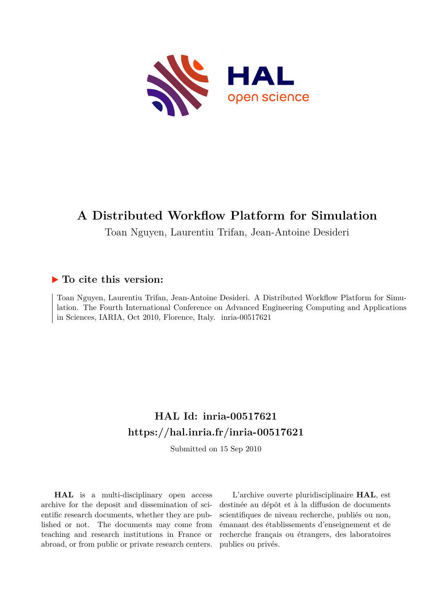

# **A Distributed Workflow Platform for Simulation**

Toan Nguyen, Laurentiu Trifan, Jean-Antoine Desideri

### **To cite this version:**

Toan Nguyen, Laurentiu Trifan, Jean-Antoine Desideri. A Distributed Workflow Platform for Simulation. The Fourth International Conference on Advanced Engineering Computing and Applications in Sciences, IARIA, Oct 2010, Florence, Italy.  $i$ nria-00517621

## **HAL Id: inria-00517621 <https://hal.inria.fr/inria-00517621>**

Submitted on 15 Sep 2010

**HAL** is a multi-disciplinary open access archive for the deposit and dissemination of scientific research documents, whether they are published or not. The documents may come from teaching and research institutions in France or abroad, or from public or private research centers.

L'archive ouverte pluridisciplinaire **HAL**, est destinée au dépôt et à la diffusion de documents scientifiques de niveau recherche, publiés ou non, émanant des établissements d'enseignement et de recherche français ou étrangers, des laboratoires publics ou privés.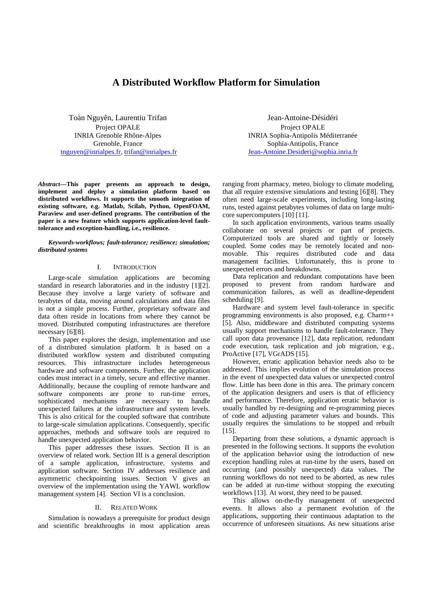### **A Distributed Workflow Platform for Simulation**

Toàn Nguyên, Laurentiu Trifan Project OPALE INRIA Grenoble Rhône-Alpes Grenoble, France tnguyen@inrialpes.fr, trifan@inrialpes.fr

*Abstract***—This paper presents an approach to design, implement and deploy a simulation platform based on distributed workflows. It supports the smooth integration of existing software, e.g. Matlab, Scilab, Python, OpenFOAM, Paraview and user-defined programs. The contribution of the paper is a new feature which supports application-level faulttolerance and exception-handling, i.e., resilience.**

*Keywords-workflows; fault-tolerance; resilience; simulation; distributed systems* 

#### I. INTRODUCTION

Large-scale simulation applications are becoming standard in research laboratories and in the industry [1][2]. Because they involve a large variety of software and terabytes of data, moving around calculations and data files is not a simple process. Further, proprietary software and data often reside in locations from where they cannot be moved. Distributed computing infrastructures are therefore necessary [6][8].

This paper explores the design, implementation and use of a distributed simulation platform. It is based on a distributed workflow system and distributed computing resources. This infrastructure includes heterogeneous hardware and software components. Further, the application codes must interact in a timely, secure and effective manner. Additionally, because the coupling of remote hardware and software components are prone to run-time errors, sophisticated mechanisms are necessary to handle unexpected failures at the infrastructure and system levels. This is also critical for the coupled software that contribute to large-scale simulation applications. Consequently, specific approaches, methods and software tools are required to handle unexpected application behavior.

This paper addresses these issues. Section II is an overview of related work. Section III is a general description of a sample application, infrastructure, systems and application software. Section IV addresses resilience and asymmetric checkpointing issues. Section V gives an overview of the implementation using the YAWL workflow management system [4]. Section VI is a conclusion.

#### II. RELATED WORK

Simulation is nowadays a prerequisite for product design and scientific breakthroughs in most application areas

Jean-Antoine-Désidéri Project OPALE INRIA Sophia-Antipolis Méditerranée Sophia-Antipolis, France Jean-Antoine.Desideri@sophia.inria.fr

ranging from pharmacy, meteo, biology to climate modeling, that all require extensive simulations and testing [6][8]. They often need large-scale experiments, including long-lasting runs, tested against petabytes volumes of data on large multicore supercomputers [10] [11].

In such application environments, various teams usually collaborate on several projects or part of projects. Computerized tools are shared and tightly or loosely coupled. Some codes may be remotely located and nonmovable. This requires distributed code and data management facilities. Unfortunately, this is prone to unexpected errors and breakdowns.

Data replication and redundant computations have been proposed to prevent from random hardware and communication failures, as well as deadline-dependent scheduling [9].

Hardware and system level fault-tolerance in specific programming environments is also proposed, e.g. Charm++ [5]. Also, middleware and distributed computing systems usually support mechanisms to handle fault-tolerance. They call upon data provenance [12], data replication, redundant code execution, task replication and job migration, e.g., ProActive [17], VGrADS [15].

However, erratic application behavior needs also to be addressed. This implies evolution of the simulation process in the event of unexpected data values or unexpected control flow. Little has been done in this area. The primary concern of the application designers and users is that of efficiency and performance. Therefore, application erratic behavior is usually handled by re-designing and re-programming pieces of code and adjusting parameter values and bounds. This usually requires the simulations to be stopped and rebuilt [15].

Departing from these solutions, a dynamic approach is presented in the following sections. It supports the evolution of the application behavior using the introduction of new exception handling rules at run-time by the users, based on occurring (and possibly unexpected) data values. The running workflows do not need to be aborted, as new rules can be added at run-time without stopping the executing workflows [13]. At worst, they need to be paused.

This allows on-the-fly management of unexpected events. It allows also a permanent evolution of the applications, supporting their continuous adaptation to the occurrence of unforeseen situations. As new situations arise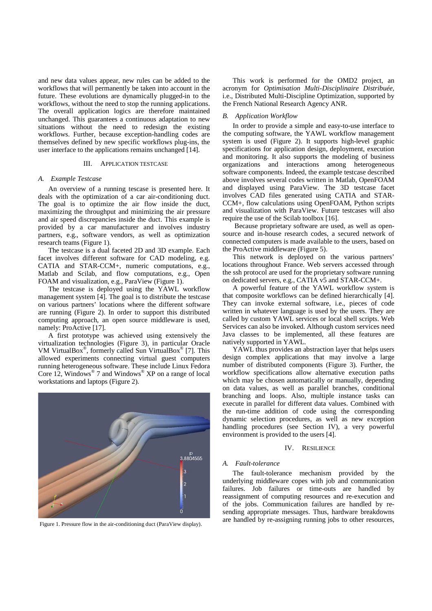and new data values appear, new rules can be added to the workflows that will permanently be taken into account in the future. These evolutions are dynamically plugged-in to the workflows, without the need to stop the running applications. The overall application logics are therefore maintained unchanged. This guarantees a continuous adaptation to new situations without the need to redesign the existing workflows. Further, because exception-handling codes are themselves defined by new specific workflows plug-ins, the user interface to the applications remains unchanged [14].

#### III. APPLICATION TESTCASE

#### *A. Example Testcase*

An overview of a running tescase is presented here. It deals with the optimization of a car air-conditioning duct. The goal is to optimize the air flow inside the duct, maximizing the throughput and minimizing the air pressure and air speed discrepancies inside the duct. This example is provided by a car manufacturer and involves industry partners, e.g., software vendors, as well as optimization research teams (Figure 1).

The testcase is a dual faceted 2D and 3D example. Each facet involves different software for CAD modeling, e.g. CATIA and STAR-CCM+, numeric computations, e.g., Matlab and Scilab, and flow computations, e.g., Open FOAM and visualization, e.g., ParaView (Figure 1).

The testcase is deployed using the YAWL workflow management system [4]. The goal is to distribute the testcase on various partners' locations where the different software are running (Figure 2). In order to support this distributed computing approach, an open source middleware is used, namely: ProActive [17].

A first prototype was achieved using extensively the virtualization technologies (Figure 3), in particular Oracle VM VirtualBox® , formerly called Sun VirtualBox® [7]. This allowed experiments connecting virtual guest computers running heterogeneous software. These include Linux Fedora Core 12, Windows<sup>®</sup> 7 and Windows<sup>®</sup> XP on a range of local workstations and laptops (Figure 2).



Figure 1. Pressure flow in the air-conditioning duct (ParaView display).

This work is performed for the OMD2 project, an acronym for *Optimisation Multi-Disciplinaire Distribuée*, i.e., Distributed Multi-Discipline Optimization, supported by the French National Research Agency ANR.

#### *B. Application Workflow*

In order to provide a simple and easy-to-use interface to the computing software, the YAWL workflow management system is used (Figure 2). It supports high-level graphic specifications for application design, deployment, execution and monitoring. It also supports the modeling of business organizations and interactions among heterogeneous software components. Indeed, the example testcase described above involves several codes written in Matlab, OpenFOAM and displayed using ParaView. The 3D testcase facet involves CAD files generated using CATIA and STAR-CCM+, flow calculations using OpenFOAM, Python scripts and visualization with ParaView. Future testcases will also require the use of the Scilab toolbox [16].

 Because proprietary software are used, as well as opensource and in-house research codes, a secured network of connected computers is made available to the users, based on the ProActive middleware (Figure 5).

This network is deployed on the various partners' locations throughout France. Web servers accessed through the ssh protocol are used for the proprietary software running on dedicated servers, e.g., CATIA v5 and STAR-CCM+.

A powerful feature of the YAWL workflow system is that composite workflows can be defined hierarchically [4]. They can invoke external software, i.e., pieces of code written in whatever language is used by the users. They are called by custom YAWL services or local shell scripts. Web Services can also be invoked. Although custom services need Java classes to be implemented, all these features are natively supported in YAWL.

YAWL thus provides an abstraction layer that helps users design complex applications that may involve a large number of distributed components (Figure 3). Further, the workflow specifications allow alternative execution paths which may be chosen automatically or manually, depending on data values, as well as parallel branches, conditional branching and loops. Also, multiple instance tasks can execute in parallel for different data values. Combined with the run-time addition of code using the corresponding dynamic selection procedures, as well as new exception handling procedures (see Section IV), a very powerful environment is provided to the users [4].

#### IV. RESILIENCE

#### *A. Fault-tolerance*

The fault-tolerance mechanism provided by the underlying middleware copes with job and communication failures. Job failures or time-outs are handled by reassignment of computing resources and re-execution and of the jobs. Communication failures are handled by resending appropriate messages. Thus, hardware breakdowns are handled by re-assigning running jobs to other resources,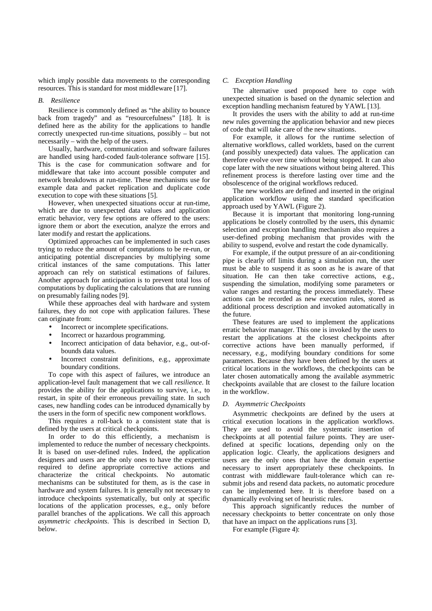which imply possible data movements to the corresponding resources. This is standard for most middleware [17].

#### *B. Resilience*

Resilience is commonly defined as "the ability to bounce back from tragedy" and as "resourcefulness" [18]. It is defined here as the ability for the applications to handle correctly unexpected run-time situations, possibly – but not necessarily – with the help of the users.

Usually, hardware, communication and software failures are handled using hard-coded fault-tolerance software [15]. This is the case for communication software and for middleware that take into account possible computer and network breakdowns at run-time. These mechanisms use for example data and packet replication and duplicate code execution to cope with these situations [5].

However, when unexpected situations occur at run-time, which are due to unexpected data values and application erratic behavior, very few options are offered to the users: ignore them or abort the execution, analyze the errors and later modify and restart the applications.

Optimized approaches can be implemented in such cases trying to reduce the amount of computations to be re-run, or anticipating potential discrepancies by multiplying some critical instances of the same computations. This latter approach can rely on statistical estimations of failures. Another approach for anticipation is to prevent total loss of computations by duplicating the calculations that are running on presumably failing nodes [9].

While these approaches deal with hardware and system failures, they do not cope with application failures. These can originate from:

- Incorrect or incomplete specifications.
- Incorrect or hazardous programming.
- Incorrect anticipation of data behavior, e.g., out-ofbounds data values.
- Incorrect constraint definitions, e.g., approximate boundary conditions.

To cope with this aspect of failures, we introduce an application-level fault management that we call *resilience*. It provides the ability for the applications to survive, i.e., to restart, in spite of their erroneous prevailing state. In such cases, new handling codes can be introduced dynamically by the users in the form of specific new component workflows.

This requires a roll-back to a consistent state that is defined by the users at critical checkpoints.

In order to do this efficiently, a mechanism is implemented to reduce the number of necessary checkpoints. It is based on user-defined rules. Indeed, the application designers and users are the only ones to have the expertise required to define appropriate corrective actions and characterize the critical checkpoints. No automatic mechanisms can be substituted for them, as is the case in hardware and system failures. It is generally not necessary to introduce checkpoints systematically, but only at specific locations of the application processes, e.g., only before parallel branches of the applications. We call this approach *asymmetric checkpoints*. This is described in Section D, below.

#### *C. Exception Handling*

The alternative used proposed here to cope with unexpected situation is based on the dynamic selection and exception handling mechanism featured by YAWL [13].

It provides the users with the ability to add at run-time new rules governing the application behavior and new pieces of code that will take care of the new situations.

For example, it allows for the runtime selection of alternative workflows, called worklets, based on the current (and possibly unexpected) data values. The application can therefore evolve over time without being stopped. It can also cope later with the new situations without being altered. This refinement process is therefore lasting over time and the obsolescence of the original workflows reduced.

The new worklets are defined and inserted in the original application workflow using the standard specification approach used by YAWL (Figure 2).

Because it is important that monitoring long-running applications be closely controlled by the users, this dynamic selection and exception handling mechanism also requires a user-defined probing mechanism that provides with the ability to suspend, evolve and restart the code dynamically.

For example, if the output pressure of an air-conditioning pipe is clearly off limits during a simulation run, the user must be able to suspend it as soon as he is aware of that situation. He can then take corrective actions, e.g., suspending the simulation, modifying some parameters or value ranges and restarting the process immediately. These actions can be recorded as new execution rules, stored as additional process description and invoked automatically in the future.

These features are used to implement the applications erratic behavior manager. This one is invoked by the users to restart the applications at the closest checkpoints after corrective actions have been manually performed, if necessary, e.g., modifying boundary conditions for some parameters. Because they have been defined by the users at critical locations in the workflows, the checkpoints can be later chosen automatically among the available asymmetric checkpoints available that are closest to the failure location in the workflow.

#### *D. Asymmetric Checkpoints*

Asymmetric checkpoints are defined by the users at critical execution locations in the application workflows. They are used to avoid the systematic insertion of checkpoints at all potential failure points. They are userdefined at specific locations, depending only on the application logic. Clearly, the applications designers and users are the only ones that have the domain expertise necessary to insert appropriately these checkpoints. In contrast with middleware fault-tolerance which can resubmit jobs and resend data packets, no automatic procedure can be implemented here. It is therefore based on a dynamically evolving set of heuristic rules.

This approach significantly reduces the number of necessary checkpoints to better concentrate on only those that have an impact on the applications runs [3].

For example (Figure 4):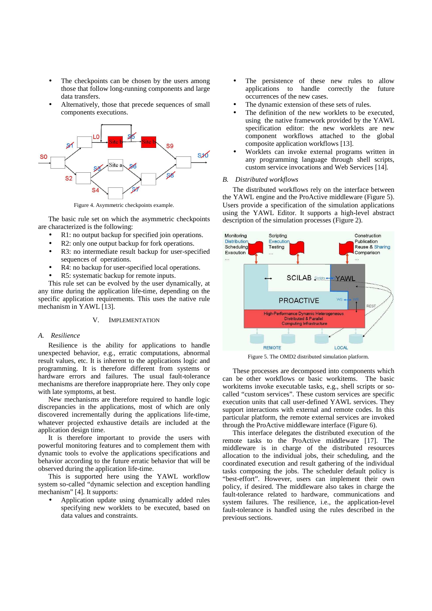- The checkpoints can be chosen by the users among those that follow long-running components and large data transfers.
- Alternatively, those that precede sequences of small components executions.



Figure 4. Asymmetric checkpoints example.

The basic rule set on which the asymmetric checkpoints are characterized is the following:

- R1: no output backup for specified join operations.
- R2: only one output backup for fork operations.
- R3: no intermediate result backup for user-specified sequences of operations.
- R4: no backup for user-specified local operations.
- R5: systematic backup for remote inputs.

This rule set can be evolved by the user dynamically, at any time during the application life-time, depending on the specific application requirements. This uses the native rule mechanism in YAWL [13].

#### V. IMPLEMENTATION

#### *A. Resilience*

Resilience is the ability for applications to handle unexpected behavior, e.g., erratic computations, abnormal result values, etc. It is inherent to the applications logic and programming. It is therefore different from systems or hardware errors and failures. The usual fault-tolerance mechanisms are therefore inappropriate here. They only cope with late symptoms, at best.

New mechanisms are therefore required to handle logic discrepancies in the applications, most of which are only discovered incrementally during the applications life-time, whatever projected exhaustive details are included at the application design time.

It is therefore important to provide the users with powerful monitoring features and to complement them with dynamic tools to evolve the applications specifications and behavior according to the future erratic behavior that will be observed during the application life-time.

This is supported here using the YAWL workflow system so-called "dynamic selection and exception handling mechanism" [4]. It supports:

• Application update using dynamically added rules specifying new worklets to be executed, based on data values and constraints.

- The persistence of these new rules to allow applications to handle correctly the future occurrences of the new cases.
- The dynamic extension of these sets of rules.
- The definition of the new worklets to be executed, using the native framework provided by the YAWL specification editor: the new worklets are new component workflows attached to the global composite application workflows [13].
- Worklets can invoke external programs written in any programming language through shell scripts, custom service invocations and Web Services [14].

#### *B. Distributed workflows*

The distributed workflows rely on the interface between the YAWL engine and the ProActive middleware (Figure 5). Users provide a specification of the simulation applications using the YAWL Editor. It supports a high-level abstract description of the simulation processes (Figure 2).



Figure 5. The OMD2 distributed simulation platform.

These processes are decomposed into components which can be other workflows or basic workitems. The basic workitems invoke executable tasks, e.g., shell scripts or socalled "custom services". These custom services are specific execution units that call user-defined YAWL services. They support interactions with external and remote codes. In this particular platform, the remote external services are invoked through the ProActive middleware interface (Figure 6).

This interface delegates the distributed execution of the remote tasks to the ProActive middleware [17]. The middleware is in charge of the distributed resources allocation to the individual jobs, their scheduling, and the coordinated execution and result gathering of the individual tasks composing the jobs. The scheduler default policy is "best-effort". However, users can implement their own policy, if desired. The middleware also takes in charge the fault-tolerance related to hardware, communications and system failures. The resilience, i.e., the application-level fault-tolerance is handled using the rules described in the previous sections.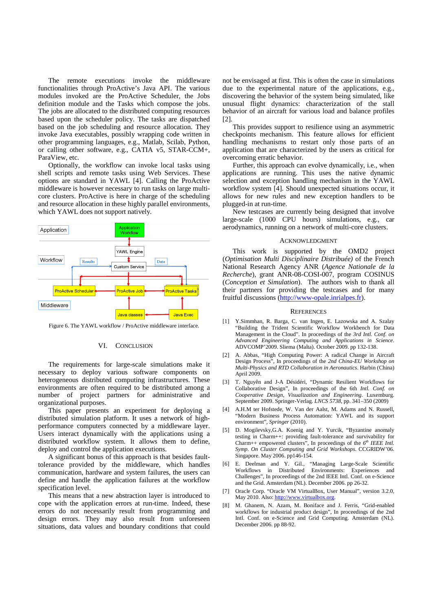The remote executions invoke the middleware functionalities through ProActive's Java API. The various modules invoked are the ProActive Scheduler, the Jobs definition module and the Tasks which compose the jobs. The jobs are allocated to the distributed computing resources based upon the scheduler policy. The tasks are dispatched based on the job scheduling and resource allocation. They invoke Java executables, possibly wrapping code written in other programming languages, e.g., Matlab, Scilab, Python, or calling other software, e.g., CATIA v5, STAR-CCM+, ParaView, etc.

Optionally, the workflow can invoke local tasks using shell scripts and remote tasks using Web Services. These options are standard in YAWL [4]. Calling the ProActive middleware is however necessary to run tasks on large multicore clusters. ProActive is here in charge of the scheduling and resource allocation in these highly parallel environments, which YAWL does not support natively.



Figure 6. The YAWL workflow / ProActive middleware interface.

#### VI. CONCLUSION

The requirements for large-scale simulations make it necessary to deploy various software components on heterogeneous distributed computing infrastructures. These environments are often required to be distributed among a number of project partners for administrative and organizational purposes.

This paper presents an experiment for deploying a distributed simulation platform. It uses a network of highperformance computers connected by a middleware layer. Users interact dynamically with the applications using a distributed workflow system. It allows them to define, deploy and control the application executions.

A significant bonus of this approach is that besides faulttolerance provided by the middleware, which handles communication, hardware and system failures, the users can define and handle the application failures at the workflow specification level.

This means that a new abstraction layer is introduced to cope with the application errors at run-time. Indeed, these errors do not necessarily result from programming and design errors. They may also result from unforeseen situations, data values and boundary conditions that could not be envisaged at first. This is often the case in simulations due to the experimental nature of the applications, e.g., discovering the behavior of the system being simulated, like unusual flight dynamics: characterization of the stall behavior of an aircraft for various load and balance profiles [2].

This provides support to resilience using an asymmetric checkpoints mechanism. This feature allows for efficient handling mechanisms to restart only those parts of an application that are characterized by the users as critical for overcoming erratic behavior.

Further, this approach can evolve dynamically, i.e., when applications are running. This uses the native dynamic selection and exception handling mechanism in the YAWL workflow system [4]. Should unexpected situations occur, it allows for new rules and new exception handlers to be plugged-in at run-time.

New testcases are currently being designed that involve large-scale (1000 CPU hours) simulations, e.g., car aerodynamics, running on a network of multi-core clusters.

#### ACKNOWLEDGMENT

This work is supported by the OMD2 project (*Optimisation Multi Disciplinaire Distribuée)* of the French National Research Agency ANR (*Agence Nationale de la Recherche*), grant ANR-08-COSI-007, program COSINUS (*Conception et Simulation*). The authors wish to thank all their partners for providing the testcases and for many fruitful discussions (http://www-opale.inrialpes.fr).

#### **REFERENCES**

- [1] Y.Simmhan, R. Barga, C. van Ingen, E. Lazowska and A. Szalay "Building the Trident Scientific Workflow Workbench for Data Management in the Cloud". In proceedings of the *3rd Intl. Conf. on Advanced Engineering Computing and Applications in Science*. ADVCOMP'2009. Sliema (Malta). October 2009. pp 132-138.
- [2] A. Abbas, "High Computing Power: A radical Change in Aircraft Design Process", In proceedings of the *2nd China-EU Workshop on Multi-Physics and RTD Collaboration in Aeronautics*. Harbin (China) April 2009.
- [3] T. Nguyên and J-A Désidéri, "Dynamic Resilient Workflows for Collaborative Design", In proceedings of the 6th *Intl. Conf. on Cooperative Design, Visualization and Engineering*. Luxemburg. September 2009. Springer-Verlag. *LNCS 5738*, pp. 341–350 (2009)
- [4] A.H.M ter Hofstede, W. Van der Aalst, M. Adams and N. Russell, "Modern Business Process Automation: YAWL and its support environment", *Springer* (2010).
- [5] D. Mogilevsky,G.A. Koenig and Y. Yurcik, "Byzantine anomaly testing in Charm++: providing fault-tolerance and survivability for Charm++ empowered clusters", In proceedings of the  $6<sup>th</sup> IEEE Intl.$ *Symp. On Cluster Computing and Grid Workshops*. CCGRIDW'06. Singapore. May 2006. pp146-154.
- [6] E. Deelman and Y. Gil., "Managing Large-Scale Scientific Workflows in Distributed Environments: Experiences and Challenges", In proceedings of the 2nd IEEE Intl. Conf. on e-Science and the Grid. Amsterdam (NL). December 2006. pp 26-32.
- [7] Oracle Corp. "Oracle VM VirtualBox, User Manual", version 3.2.0, May 2010. Also: http://www.virtualbox.org.
- [8] M. Ghanem, N. Azam, M. Boniface and J. Ferris, "Grid-enabled workflows for industrial product design", In proceedings of the 2nd Intl. Conf. on e-Science and Grid Computing. Amsterdam (NL). December 2006. pp 88-92.